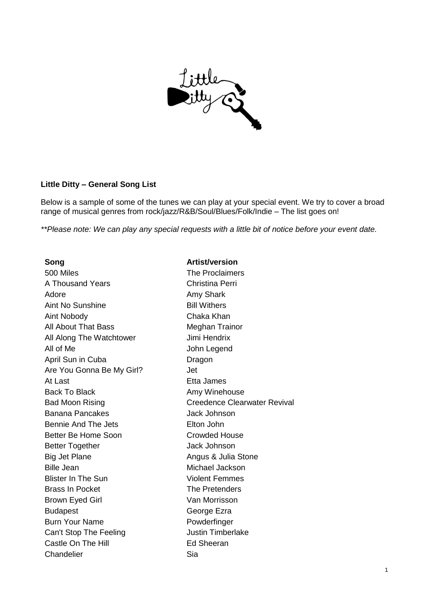

## **Little Ditty – General Song List**

Below is a sample of some of the tunes we can play at your special event. We try to cover a broad range of musical genres from rock/jazz/R&B/Soul/Blues/Folk/Indie – The list goes on!

*\*\*Please note: We can play any special requests with a little bit of notice before your event date.* 

500 Miles The Proclaimers A Thousand Years **Christina Perri** Adore **Amy Shark** Aint No Sunshine **Bill Withers** Aint Nobody Chaka Khan All About That Bass Meghan Trainor All Along The Watchtower **Jimi Hendrix** All of Me John Legend April Sun in Cuba Dragon Are You Gonna Be My Girl? Jet At Last **Etheland** Etta James Back To Black **Amy Winehouse** Back To Black Banana Pancakes Jack Johnson Bennie And The Jets **Elton John** Better Be Home Soon **Crowded House** Better Together **Gallery Jack Johnson** Big Jet Plane **Angus & Julia Stone** Bille Jean Michael Jackson **Blister In The Sun Contract Contract Contract Violent Femmes** Brass In Pocket The Pretenders Brown Eyed Girl Van Morrisson Budapest **George Ezra** Burn Your Name **Powderfinger** Can't Stop The Feeling **Cantillace** Justin Timberlake Castle On The Hill **Ed Sheeran** Chandelier Sia

## **Song Artist/version**

Bad Moon Rising **Creedence Clearwater Revival**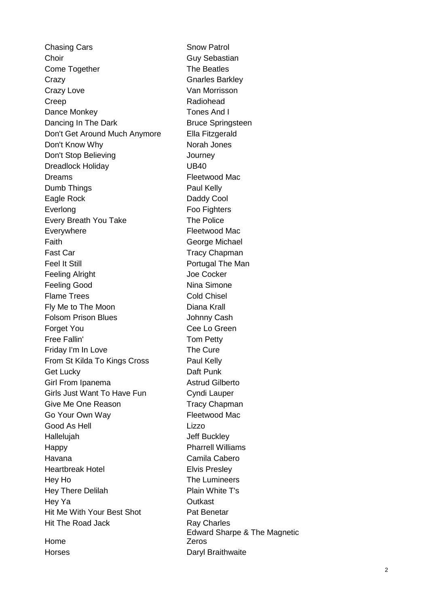Chasing Cars **Snow Patrol** Choir Guy Sebastian Come Together The Beatles Crazy Gnarles Barkley Crazy Love Van Morrisson Creep Radiohead Dance Monkey **Tones And I** Dancing In The Dark Bruce Springsteen Don't Get Around Much Anymore Ella Fitzgerald Don't Know Why Norah Jones Don't Stop Believing **Contact Stop Believing Journey** Dreadlock Holiday **UB40** Dreams Fleetwood Mac Dumb Things **Paul Kelly** Eagle Rock Daddy Cool Everlong Foo Fighters Every Breath You Take The Police Everywhere **Fleetwood Mac** Faith **Faith** George Michael Fast Car Tracy Chapman Feel It Still **Portugal The Man** Feeling Alright **Joe Cocker** Feeling Good Nina Simone Flame Trees Cold Chisel Fly Me to The Moon Diana Krall Folsom Prison Blues **Johnny Cash** Forget You **Cee Lo Green** Free Fallin' Tom Petty Friday I'm In Love The Cure From St Kilda To Kings Cross Paul Kelly Get Lucky **Daft Punk** Girl From Ipanema<br>
Astrud Gilberto Girls Just Want To Have Fun Cyndi Lauper Give Me One Reason Tracy Chapman Go Your Own Way **Fleetwood Mac** Good As Hell **Lizzo** Hallelujah Jeff Buckley Happy **Pharrell Williams** Havana Camila Cabero Heartbreak Hotel **Elvis Presley** Hey Ho The Lumineers Hey There Delilah Plain White T's Hey Ya Outkast Hit Me With Your Best Shot Pat Benetar Hit The Road Jack Ray Charles Home

Edward Sharpe & The Magnetic Zeros Horses **Daryl Braithwaite**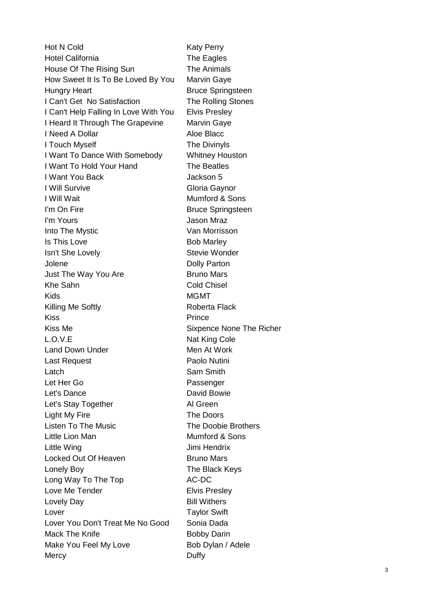Hot N Cold Katy Perry Hotel California **The Eagles** House Of The Rising Sun The Animals How Sweet It Is To Be Loved By You Marvin Gaye Hungry Heart **Bruce Springsteen** I Can't Get No Satisfaction The Rolling Stones I Can't Help Falling In Love With You Elvis Presley I Heard It Through The Grapevine Marvin Gaye I Need A Dollar Aloe Blacc I Touch Myself The Divinyls I Want To Dance With Somebody Whitney Houston I Want To Hold Your Hand The Beatles I Want You Back **I Mackson 5 I Will Survive Community Community** Gloria Gaynor I Will Wait **Mumford & Sons** I'm On Fire **Bruce Springsteen** I'm Yours **I'm Yours Jason Mraz** Into The Mystic **Van Morrisson** Is This Love Bob Marley Isn't She Lovely **Stevie Wonder** Stevie Wonder Jolene Dolly Parton Just The Way You Are **Bruno Mars** Khe Sahn Cold Chisel Kids MGMT Killing Me Softly **Roberta Flack** Kiss **Prince** Kiss Me **Sixpence** None The Richer L.O.V.E Nat King Cole Land Down Under Men At Work Last Request **Paolo** Nutini Latch **Sam Smith** Let Her Go **Passenger** Let's Dance David Bowie Let's Stay Together **Al Green** Light My Fire **The Doors** Listen To The Music **The Doobie Brothers** Little Lion Man Mumford & Sons Little Wing **Communist Communist Communist Communist Communist Communist Communist Communist Communist Communist Communist Communist Communist Communist Communist Communist Communist Communist Communist Communist Communist** Locked Out Of Heaven Bruno Mars Lonely Boy **The Black Keys** Long Way To The Top **AC-DC** Love Me Tender **Elvis Presley** Lovely Day **Bill Withers** Lover **Taylor Swift** Lover You Don't Treat Me No Good Sonia Dada Mack The Knife **Bobby Darin** Bobby Darin Make You Feel My Love Bob Dylan / Adele Mercy **Duffy**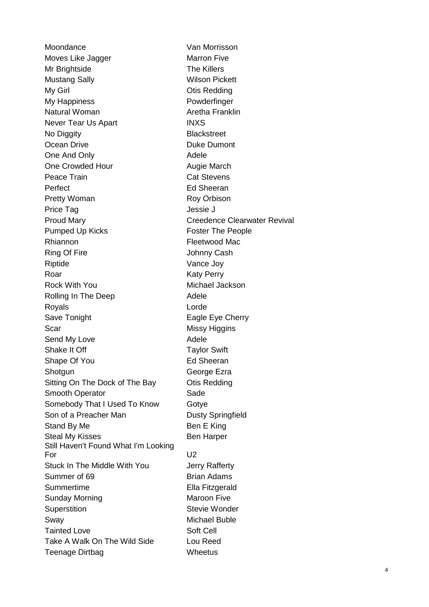Moondance Van Morrisson Moves Like Jagger Marron Five Mr Brightside The Killers Mustang Sally **Wilson Pickett** My Girl **Contract Contract Contract Contract Contract Contract Contract Contract Contract Contract Contract Contract Contract Contract Contract Contract Contract Contract Contract Contract Contract Contract Contract Contra** My Happiness **Powderfinger** Natural Woman **Aretha Franklin** Never Tear Us Apart **INXS** No Diggity **Blackstreet** Ocean Drive **Duke Dumont** One And Only **Adele** One Crowded Hour **Augie March** Peace Train **Cat Stevens** Perfect **Ed Sheeran** Pretty Woman Roy Orbison Price Tag **Internal Studies In the Second Studies** Jessie J Proud Mary **Creedence Clearwater Revival** Pumped Up Kicks Foster The People Rhiannon **Fleetwood Mac** Ring Of Fire Johnny Cash Riptide Vance Joy Roar Katy Perry Rock With You **Michael Jackson** Rolling In The Deep Adele Royals **Lorde** Save Tonight **Eagle Eye Cherry** Scar Missy Higgins Send My Love Adele Shake It Off Taylor Swift Shape Of You **Ed Sheeran** Shotgun George Ezra Sitting On The Dock of The Bay **Otis Redding** Smooth Operator **Samually** Sade Somebody That I Used To Know Gotye Son of a Preacher Man Dusty Springfield Stand By Me Ben E King Steal My Kisses Ben Harper Still Haven't Found What I'm Looking For U2 Stuck In The Middle With You **Jerry Rafferty** Summer of 69 Brian Adams Summertime Ella Fitzgerald Sunday Morning **Maroon Five** Maroon Five Superstition Superstition Stevie Wonder Sway Michael Buble Tainted Love Soft Cell Take A Walk On The Wild Side Lou Reed Teenage Dirtbag Wheetus